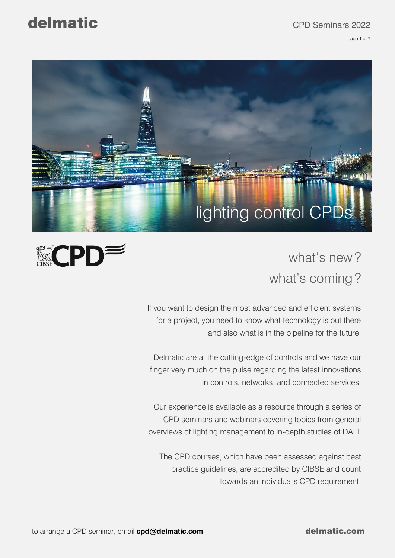page 1 of 7

### delmatic CPD Seminars 2022

※CPDW



# what's new? what's coming ?

If you want to design the most advanced and efficient systems for a project, you need to know what technology is out there and also what is in the pipeline for the future.

Delmatic are at the cutting-edge of controls and we have our finger very much on the pulse regarding the latest innovations in controls, networks, and connected services.

Our experience is available as a resource through a series of CPD seminars and webinars covering topics from general overviews of lighting management to in-depth studies of DALI.

The CPD courses, which have been assessed against best practice guidelines, are accredited by CIBSE and count towards an individual's CPD requirement.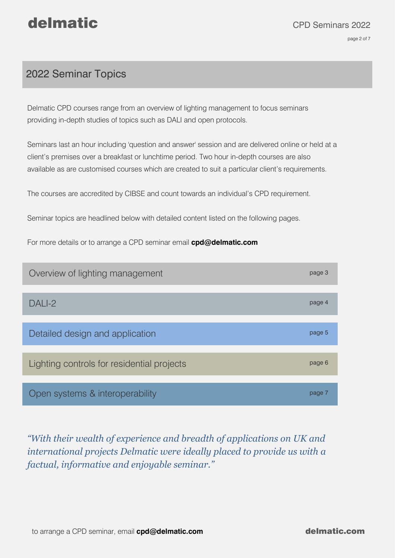#### 2022 Seminar Topics

Delmatic CPD courses range from an overview of lighting management to focus seminars providing in-depth studies of topics such as DALI and open protocols.

Seminars last an hour including 'question and answer' session and are delivered online or held at a client's premises over a breakfast or lunchtime period. Two hour in-depth courses are also available as are customised courses which are created to suit a particular client's requirements.

The courses are accredited by CIBSE and count towards an individual's CPD requirement.

Seminar topics are headlined below with detailed content listed on the following pages.

For more details or to arrange a CPD seminar email **[cpd@delmatic.com](mailto:cpd@delmatic.com)**



*"With their wealth of experience and breadth of applications on UK and international projects Delmatic were ideally placed to provide us with a factual, informative and enjoyable seminar."*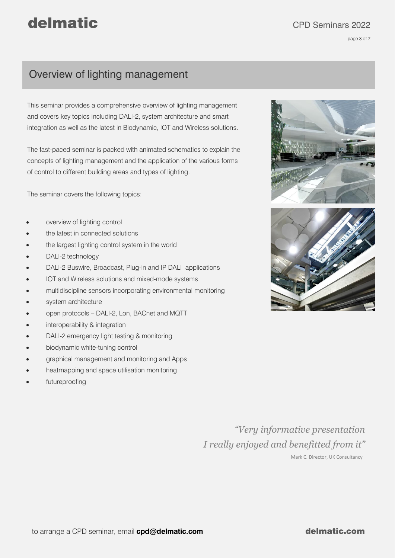page 3 of 7

### Overview of lighting management

This seminar provides a comprehensive overview of lighting management and covers key topics including DALI-2, system architecture and smart integration as well as the latest in Biodynamic, IOT and Wireless solutions.

The fast-paced seminar is packed with animated schematics to explain the concepts of lighting management and the application of the various forms of control to different building areas and types of lighting.

The seminar covers the following topics:

- overview of lighting control
- the latest in connected solutions
- the largest lighting control system in the world
- DALI-2 technology
- DALI-2 Buswire, Broadcast, Plug-in and IP DALI applications
- IOT and Wireless solutions and mixed-mode systems
- multidiscipline sensors incorporating environmental monitoring
- system architecture
- open protocols DALI-2, Lon, BACnet and MQTT
- interoperability & integration
- DALI-2 emergency light testing & monitoring
- biodynamic white-tuning control
- graphical management and monitoring and Apps
- heatmapping and space utilisation monitoring
- futureproofing

*"Very informative presentation I really enjoyed and benefitted from it"*

Mark C. Director, UK Consultancy



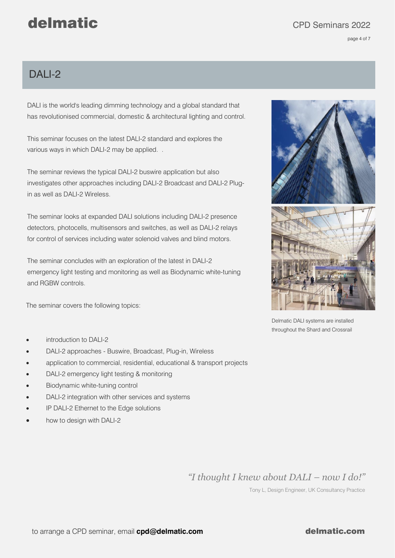page 4 of 7

#### DAI I-2

DALI is the world's leading dimming technology and a global standard that has revolutionised commercial, domestic & architectural lighting and control.

This seminar focuses on the latest DALI-2 standard and explores the various ways in which DALI-2 may be applied. .

The seminar reviews the typical DALI-2 buswire application but also investigates other approaches including DALI-2 Broadcast and DALI-2 Plugin as well as DALI-2 Wireless.

The seminar looks at expanded DALI solutions including DALI-2 presence detectors, photocells, multisensors and switches, as well as DALI-2 relays for control of services including water solenoid valves and blind motors.

The seminar concludes with an exploration of the latest in DALI-2 emergency light testing and monitoring as well as Biodynamic white-tuning and RGBW controls.

The seminar covers the following topics:



Delmatic DALI systems are installed throughout the Shard and Crossrail

- introduction to DALI-2
- DALI-2 approaches Buswire, Broadcast, Plug-in, Wireless
- application to commercial, residential, educational & transport projects
- DALI-2 emergency light testing & monitoring
- Biodynamic white-tuning control
- DALI-2 integration with other services and systems
- IP DALI-2 Ethernet to the Edge solutions
- how to design with DALI-2

*"I thought I knew about DALI – now I do!"*

Tony L, Design Engineer, UK Consultancy Practice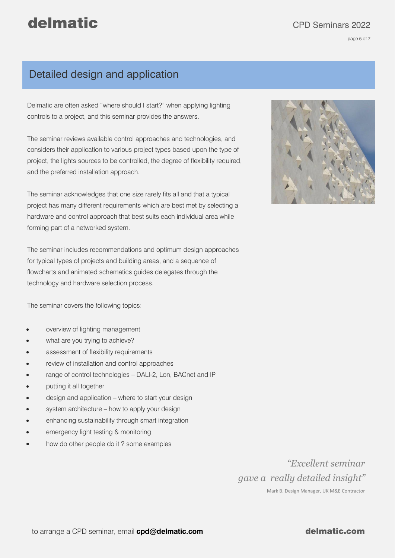page 5 of 7

#### Detailed design and application

Delmatic are often asked "where should I start?" when applying lighting controls to a project, and this seminar provides the answers.

The seminar reviews available control approaches and technologies, and considers their application to various project types based upon the type of project, the lights sources to be controlled, the degree of flexibility required, and the preferred installation approach.

The seminar acknowledges that one size rarely fits all and that a typical project has many different requirements which are best met by selecting a hardware and control approach that best suits each individual area while forming part of a networked system.

The seminar includes recommendations and optimum design approaches for typical types of projects and building areas, and a sequence of flowcharts and animated schematics guides delegates through the technology and hardware selection process.

The seminar covers the following topics:

- overview of lighting management
- what are you trying to achieve?
- assessment of flexibility requirements
- review of installation and control approaches
- range of control technologies DALI-2, Lon, BACnet and IP
- putting it all together
- design and application where to start your design
- system architecture how to apply your design
- enhancing sustainability through smart integration
- emergency light testing & monitoring
- how do other people do it? some examples



*"Excellent seminar gave a really detailed insight"* Mark B. Design Manager, UK M&E Contractor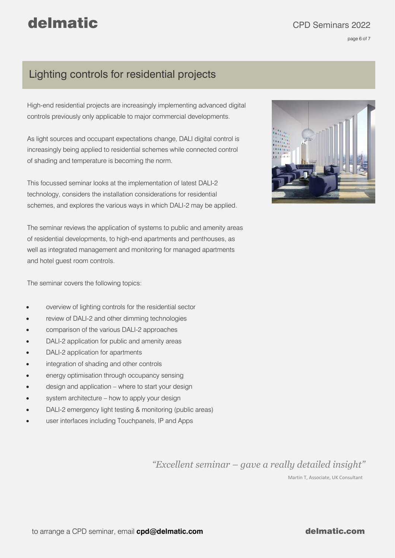page 6 of 7

### Lighting controls for residential projects

High-end residential projects are increasingly implementing advanced digital controls previously only applicable to major commercial developments.

As light sources and occupant expectations change, DALI digital control is increasingly being applied to residential schemes while connected control of shading and temperature is becoming the norm.

This focussed seminar looks at the implementation of latest DALI-2 technology, considers the installation considerations for residential schemes, and explores the various ways in which DALI-2 may be applied.

The seminar reviews the application of systems to public and amenity areas of residential developments, to high-end apartments and penthouses, as well as integrated management and monitoring for managed apartments and hotel guest room controls.

The seminar covers the following topics:

- overview of lighting controls for the residential sector
- review of DALI-2 and other dimming technologies
- comparison of the various DALI-2 approaches
- DALI-2 application for public and amenity areas
- DALI-2 application for apartments
- integration of shading and other controls
- energy optimisation through occupancy sensing
- design and application where to start your design
- system architecture how to apply your design
- DALI-2 emergency light testing & monitoring (public areas)
- user interfaces including Touchpanels, IP and Apps



*"Excellent seminar – gave a really detailed insight"*

Martin T, Associate, UK Consultant